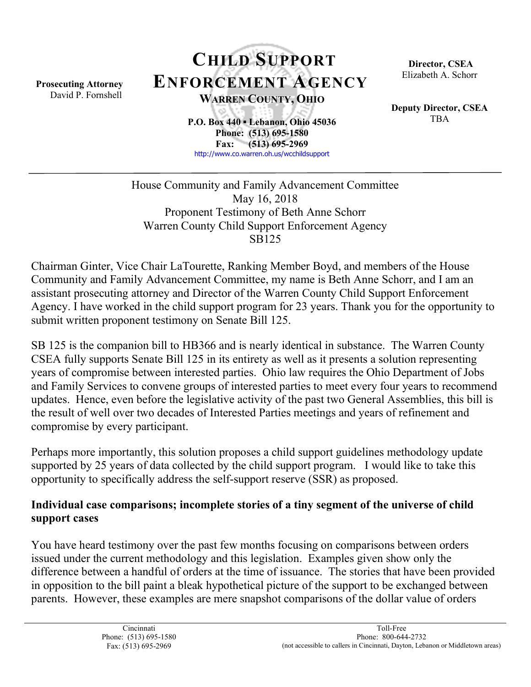Prosecuting Attorney David P. Fornshell

# CHILD SUPPORT ENFORCEMENT AGENCY WARREN COUNTY, OHIO

P.O. Box 440 ▪ Lebanon, Ohio 45036 Phone: (513) 695-1580 Fax: (513) 695-2969 http://www.co.warren.oh.us/wcchildsupport

 Director, CSEA Elizabeth A. Schorr

Deputy Director, CSEA TBA

House Community and Family Advancement Committee May 16, 2018 Proponent Testimony of Beth Anne Schorr Warren County Child Support Enforcement Agency SB125

Chairman Ginter, Vice Chair LaTourette, Ranking Member Boyd, and members of the House Community and Family Advancement Committee, my name is Beth Anne Schorr, and I am an assistant prosecuting attorney and Director of the Warren County Child Support Enforcement Agency. I have worked in the child support program for 23 years. Thank you for the opportunity to submit written proponent testimony on Senate Bill 125.

SB 125 is the companion bill to HB366 and is nearly identical in substance. The Warren County CSEA fully supports Senate Bill 125 in its entirety as well as it presents a solution representing years of compromise between interested parties. Ohio law requires the Ohio Department of Jobs and Family Services to convene groups of interested parties to meet every four years to recommend updates. Hence, even before the legislative activity of the past two General Assemblies, this bill is the result of well over two decades of Interested Parties meetings and years of refinement and compromise by every participant.

Perhaps more importantly, this solution proposes a child support guidelines methodology update supported by 25 years of data collected by the child support program. I would like to take this opportunity to specifically address the self-support reserve (SSR) as proposed.

#### Individual case comparisons; incomplete stories of a tiny segment of the universe of child support cases

You have heard testimony over the past few months focusing on comparisons between orders issued under the current methodology and this legislation. Examples given show only the difference between a handful of orders at the time of issuance. The stories that have been provided in opposition to the bill paint a bleak hypothetical picture of the support to be exchanged between parents. However, these examples are mere snapshot comparisons of the dollar value of orders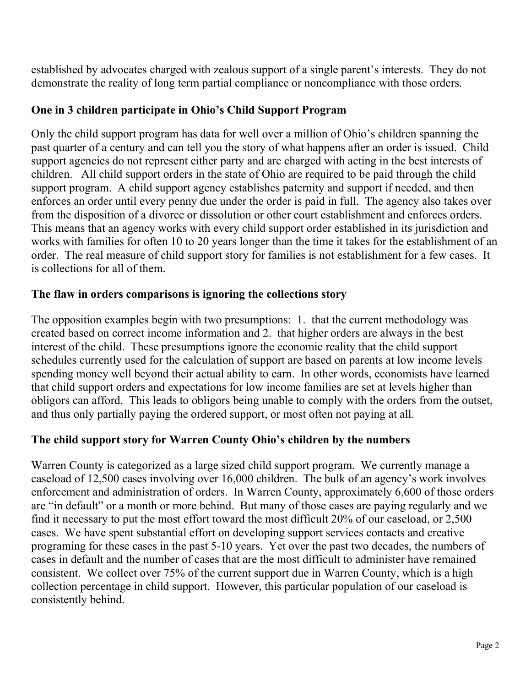established by advocates charged with zealous support of a single parent's interests. They do not demonstrate the reality of long term partial compliance or noncompliance with those orders.

#### One in 3 children participate in Ohio's Child Support Program

Only the child support program has data for well over a million of Ohio's children spanning the past quarter of a century and can tell you the story of what happens after an order is issued. Child support agencies do not represent either party and are charged with acting in the best interests of children. All child support orders in the state of Ohio are required to be paid through the child support program. A child support agency establishes paternity and support if needed, and then enforces an order until every penny due under the order is paid in full. The agency also takes over from the disposition of a divorce or dissolution or other court establishment and enforces orders. This means that an agency works with every child support order established in its jurisdiction and works with families for often 10 to 20 years longer than the time it takes for the establishment of an order. The real measure of child support story for families is not establishment for a few cases. It is collections for all of them.

#### The flaw in orders comparisons is ignoring the collections story

The opposition examples begin with two presumptions: 1. that the current methodology was created based on correct income information and 2. that higher orders are always in the best interest of the child. These presumptions ignore the economic reality that the child support schedules currently used for the calculation of support are based on parents at low income levels spending money well beyond their actual ability to earn. In other words, economists have learned that child support orders and expectations for low income families are set at levels higher than obligors can afford. This leads to obligors being unable to comply with the orders from the outset, and thus only partially paying the ordered support, or most often not paying at all.

#### The child support story for Warren County Ohio's children by the numbers

Warren County is categorized as a large sized child support program. We currently manage a caseload of 12,500 cases involving over 16,000 children. The bulk of an agency's work involves enforcement and administration of orders. In Warren County, approximately 6,600 of those orders are "in default" or a month or more behind. But many of those cases are paying regularly and we find it necessary to put the most effort toward the most difficult 20% of our caseload, or 2,500 cases. We have spent substantial effort on developing support services contacts and creative programing for these cases in the past 5-10 years. Yet over the past two decades, the numbers of cases in default and the number of cases that are the most difficult to administer have remained consistent. We collect over 75% of the current support due in Warren County, which is a high collection percentage in child support. However, this particular population of our caseload is consistently behind.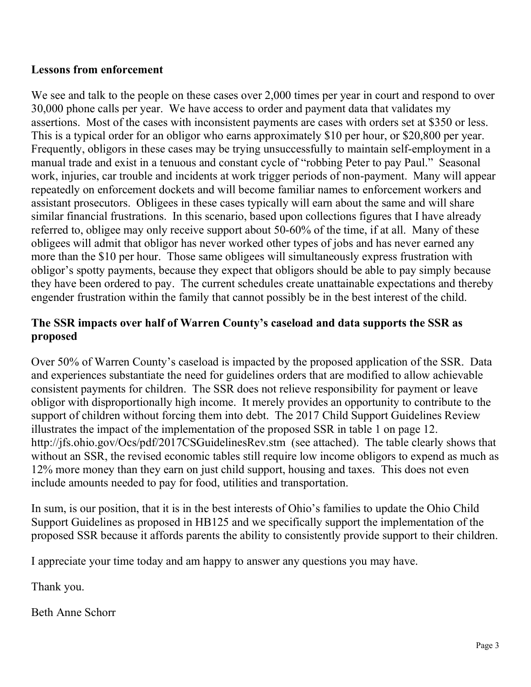#### Lessons from enforcement

We see and talk to the people on these cases over 2,000 times per year in court and respond to over 30,000 phone calls per year. We have access to order and payment data that validates my assertions. Most of the cases with inconsistent payments are cases with orders set at \$350 or less. This is a typical order for an obligor who earns approximately \$10 per hour, or \$20,800 per year. Frequently, obligors in these cases may be trying unsuccessfully to maintain self-employment in a manual trade and exist in a tenuous and constant cycle of "robbing Peter to pay Paul." Seasonal work, injuries, car trouble and incidents at work trigger periods of non-payment. Many will appear repeatedly on enforcement dockets and will become familiar names to enforcement workers and assistant prosecutors. Obligees in these cases typically will earn about the same and will share similar financial frustrations. In this scenario, based upon collections figures that I have already referred to, obligee may only receive support about 50-60% of the time, if at all. Many of these obligees will admit that obligor has never worked other types of jobs and has never earned any more than the \$10 per hour. Those same obligees will simultaneously express frustration with obligor's spotty payments, because they expect that obligors should be able to pay simply because they have been ordered to pay. The current schedules create unattainable expectations and thereby engender frustration within the family that cannot possibly be in the best interest of the child.

#### The SSR impacts over half of Warren County's caseload and data supports the SSR as proposed

Over 50% of Warren County's caseload is impacted by the proposed application of the SSR. Data and experiences substantiate the need for guidelines orders that are modified to allow achievable consistent payments for children. The SSR does not relieve responsibility for payment or leave obligor with disproportionally high income. It merely provides an opportunity to contribute to the support of children without forcing them into debt. The 2017 Child Support Guidelines Review illustrates the impact of the implementation of the proposed SSR in table 1 on page 12. http://jfs.ohio.gov/Ocs/pdf/2017CSGuidelinesRev.stm (see attached). The table clearly shows that without an SSR, the revised economic tables still require low income obligors to expend as much as 12% more money than they earn on just child support, housing and taxes. This does not even include amounts needed to pay for food, utilities and transportation.

In sum, is our position, that it is in the best interests of Ohio's families to update the Ohio Child Support Guidelines as proposed in HB125 and we specifically support the implementation of the proposed SSR because it affords parents the ability to consistently provide support to their children.

I appreciate your time today and am happy to answer any questions you may have.

Thank you.

Beth Anne Schorr